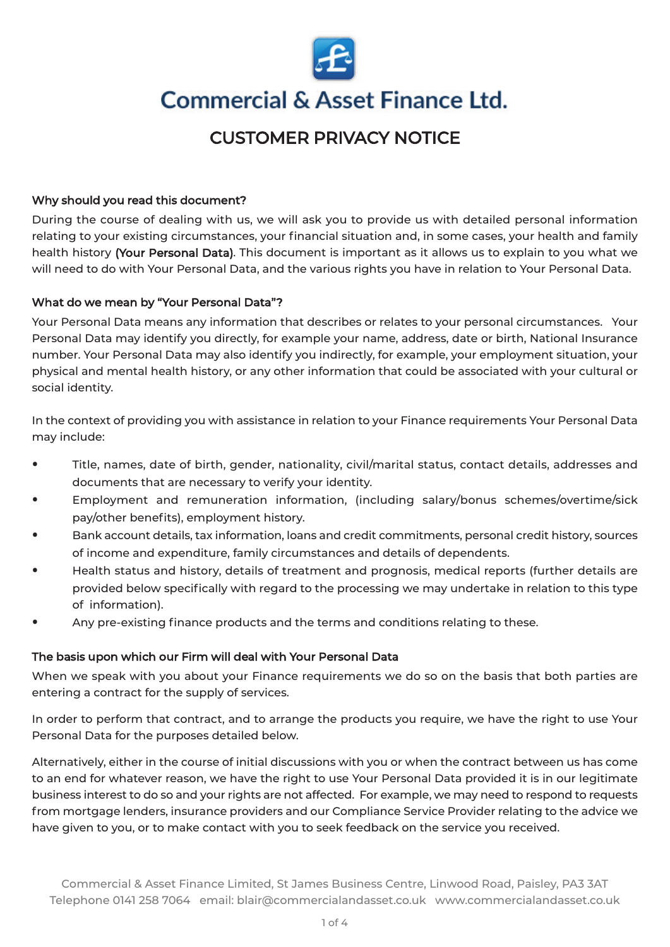

# **Commercial & Asset Finance Ltd.**

# CUSTOMER PRIVACY NOTICE

# Why should you read this document?

During the course of dealing with us, we will ask you to provide us with detailed personal information relating to your existing circumstances, your financial situation and, in some cases, your health and family health history (Your Personal Data). This document is important as it allows us to explain to you what we will need to do with Your Personal Data, and the various rights you have in relation to Your Personal Data.

# What do we mean by "Your Personal Data"?

Your Personal Data means any information that describes or relates to your personal circumstances. Your Personal Data may identify you directly, for example your name, address, date or birth, National Insurance number. Your Personal Data may also identify you indirectly, for example, your employment situation, your physical and mental health history, or any other information that could be associated with your cultural or social identity.

In the context of providing you with assistance in relation to your Finance requirements Your Personal Data may include:

- ⦁ Title, names, date of birth, gender, nationality, civil/marital status, contact details, addresses and documents that are necessary to verify your identity.
- ⦁ Employment and remuneration information, (including salary/bonus schemes/overtime/sick pay/other benefits), employment history.
- ⦁ Bank account details, tax information, loans and credit commitments, personal credit history, sources of income and expenditure, family circumstances and details of dependents.
- Health status and history, details of treatment and prognosis, medical reports (further details are provided below specifically with regard to the processing we may undertake in relation to this type of information).
- ⦁ Any pre-existing finance products and the terms and conditions relating to these.

# The basis upon which our Firm will deal with Your Personal Data

When we speak with you about your Finance requirements we do so on the basis that both parties are entering a contract for the supply of services.

In order to perform that contract, and to arrange the products you require, we have the right to use Your Personal Data for the purposes detailed below.

Alternatively, either in the course of initial discussions with you or when the contract between us has come to an end for whatever reason, we have the right to use Your Personal Data provided it is in our legitimate business interest to do so and your rights are not affected. For example, we may need to respond to requests from mortgage lenders, insurance providers and our Compliance Service Provider relating to the advice we have given to you, or to make contact with you to seek feedback on the service you received.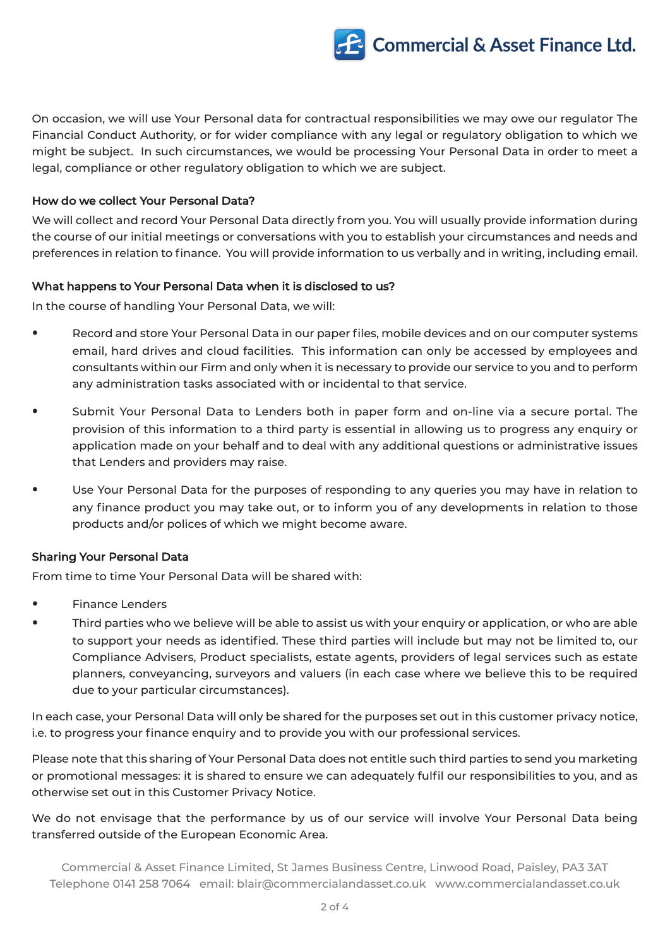

On occasion, we will use Your Personal data for contractual responsibilities we may owe our regulator The Financial Conduct Authority, or for wider compliance with any legal or regulatory obligation to which we might be subject. In such circumstances, we would be processing Your Personal Data in order to meet a legal, compliance or other regulatory obligation to which we are subject.

#### How do we collect Your Personal Data?

We will collect and record Your Personal Data directly from you. You will usually provide information during the course of our initial meetings or conversations with you to establish your circumstances and needs and preferences in relation to finance. You will provide information to us verbally and in writing, including email.

#### What happens to Your Personal Data when it is disclosed to us?

In the course of handling Your Personal Data, we will:

- Record and store Your Personal Data in our paper files, mobile devices and on our computer systems email, hard drives and cloud facilities. This information can only be accessed by employees and consultants within our Firm and only when it is necessary to provide our service to you and to perform any administration tasks associated with or incidental to that service.
- ⦁ Submit Your Personal Data to Lenders both in paper form and on-line via a secure portal. The provision of this information to a third party is essential in allowing us to progress any enquiry or application made on your behalf and to deal with any additional questions or administrative issues that Lenders and providers may raise.
- Use Your Personal Data for the purposes of responding to any queries you may have in relation to any finance product you may take out, or to inform you of any developments in relation to those products and/or polices of which we might become aware.

# Sharing Your Personal Data

From time to time Your Personal Data will be shared with:

- ⦁ Finance Lenders
- Third parties who we believe will be able to assist us with your enquiry or application, or who are able to support your needs as identified. These third parties will include but may not be limited to, our Compliance Advisers, Product specialists, estate agents, providers of legal services such as estate planners, conveyancing, surveyors and valuers (in each case where we believe this to be required due to your particular circumstances).

In each case, your Personal Data will only be shared for the purposes set out in this customer privacy notice, i.e. to progress your finance enquiry and to provide you with our professional services.

Please note that this sharing of Your Personal Data does not entitle such third parties to send you marketing or promotional messages: it is shared to ensure we can adequately fulfil our responsibilities to you, and as otherwise set out in this Customer Privacy Notice.

We do not envisage that the performance by us of our service will involve Your Personal Data being transferred outside of the European Economic Area.

Commercial & Asset Finance Limited, St James Business Centre, Linwood Road, Paisley, PA3 3AT Telephone 0141 258 7064 email: [blair@commercialandasset.co.uk](mailto:blair@commercialandasset.co.uk) <www.commercialandasset.co.uk>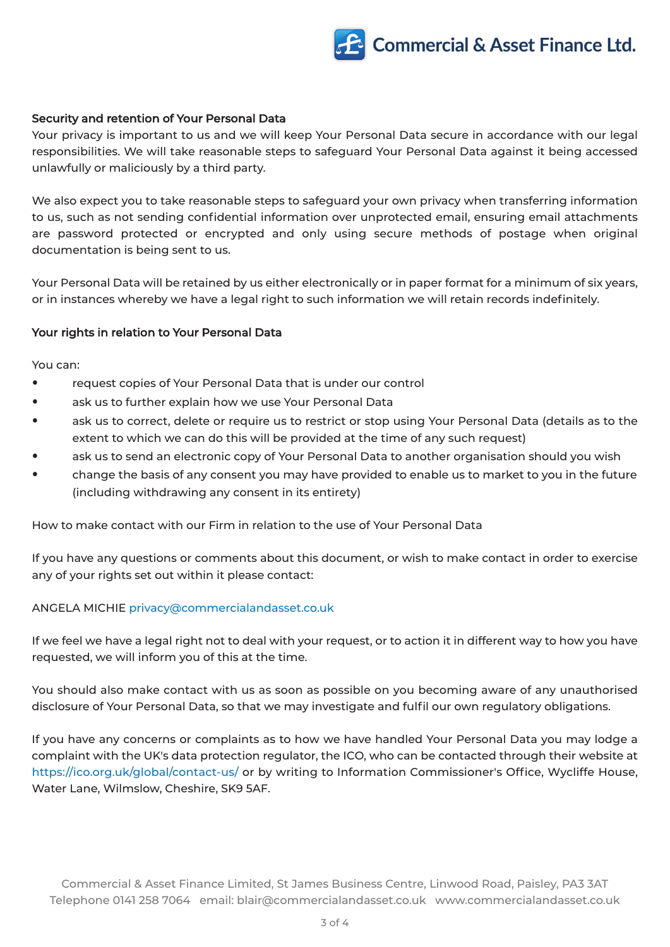

#### Security and retention of Your Personal Data

Your privacy is important to us and we will keep Your Personal Data secure in accordance with our legal responsibilities. We will take reasonable steps to safeguard Your Personal Data against it being accessed unlawfully or maliciously by a third party.

We also expect you to take reasonable steps to safeguard your own privacy when transferring information to us, such as not sending confidential information over unprotected email, ensuring email attachments are password protected or encrypted and only using secure methods of postage when original documentation is being sent to us.

Your Personal Data will be retained by us either electronically or in paper format for a minimum of six years, or in instances whereby we have a legal right to such information we will retain records indefinitely.

#### Your rights in relation to Your Personal Data

You can:

- ⦁ request copies of Your Personal Data that is under our control
- ask us to further explain how we use Your Personal Data
- ask us to correct, delete or require us to restrict or stop using Your Personal Data (details as to the extent to which we can do this will be provided at the time of any such request)
- ask us to send an electronic copy of Your Personal Data to another organisation should you wish
- ⦁ change the basis of any consent you may have provided to enable us to market to you in the future (including withdrawing any consent in its entirety)

How to make contact with our Firm in relation to the use of Your Personal Data

If you have any questions or comments about this document, or wish to make contact in order to exercise any of your rights set out within it please contact:

#### ANGELA MICHIE [privacy@commercialandasset.co.uk](mailto:privacy@commercialandasset.co.uk)

If we feel we have a legal right not to deal with your request, or to action it in different way to how you have requested, we will inform you of this at the time.

You should also make contact with us as soon as possible on you becoming aware of any unauthorised disclosure of Your Personal Data, so that we may investigate and fulfil our own regulatory obligations.

If you have any concerns or complaints as to how we have handled Your Personal Data you may lodge a complaint with the UK's data protection regulator, the ICO, who can be contacted through their website at <https://ico.org.uk/global/contact-us/> or by writing to Information Commissioner's Office, Wycliffe House, Water Lane, Wilmslow, Cheshire, SK9 5AF.